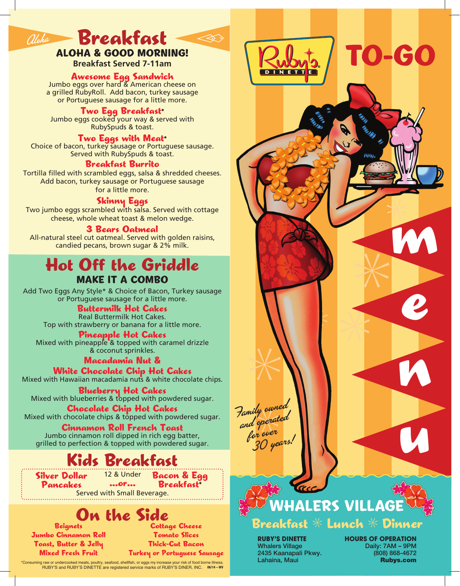# Breakfast alcha **Breakfast**

### ALOHA & GOOD MORNING!

**Breakfast Served 7-11am**

**Awesome Egg Sandwich**<br>Jumbo eggs over hard & American cheese on a grilled RubyRoll. Add bacon, turkey sausage or Portuguese sausage for a little more.

#### **Two Egg Breakfast\***

Jumbo eggs cooked your way & served with RubySpuds & toast.

### Two Eggs with Meat<sup>\*</sup>

Choice of bacon, turkey sausage or Portuguese sausage. Served with RubySpuds & toast.

#### Breakfast Burrito

Tortilla filled with scrambled eggs, salsa & shredded cheeses. Add bacon, turkey sausage or Portuguese sausage for a little more.

**Skinny Eggs**<br>Two jumbo eggs scrambled with salsa. Served with cottage cheese, whole wheat toast & melon wedge.

#### 3 Bears Oatmeal

All-natural steel cut oatmeal. Served with golden raisins, candied pecans, brown sugar & 2% milk.

### MAKE IT A COMBO Hot Off the Griddle

Add Two Eggs Any Style\* & Choice of Bacon, Turkey sausage or Portuguese sausage for a little more.

### Buttermilk Hot Cakes

Real Buttermilk Hot Cakes. Top with strawberry or banana for a little more.

**Pineapple Hot Cakes**<br>Mixed with pineapple & topped with caramel drizzle & coconut sprinkles.

### Macadamia Nut &

White Chocolate Chip Hot Cakes<br>Mixed with Hawaiian macadamia nuts & white chocolate chips.

**Blueberry Hot Cakes**<br>Mixed with blueberries & topped with powdered sugar.

**Chocolate Chip Hot Cakes**<br>Mixed with chocolate chips & topped with powdered sugar.

Cinnamon Roll French Toast Jumbo cinnamon roll dipped in rich egg batter, grilled to perfection & topped with powdered sugar.

### Kids Breakfast

Silver Dollar 12 & Under Pancakes

...or... Bacon & Egg **Breakfast** 

Served with Small Beverage.

### On the Side

Beignets Jumbo Cinnamon Roll Toast, Butter & Jelly Mixed Fresh Fruit

Cottage Cheese Tomato Slices Thick-Cut Bacon Turkey or Portuguese Sausage

\*Consuming raw or undercooked meats, poultry, seafood, shellfish, or eggs my increase your risk of food borne illness. **Rubys.com Budden Consuming raw or undercooked meats, poultry, seafood, shellfish, or eggs my increase** 





**RUBY'S DINETTE** Whalers Village 2435 Kaanapali Pkwy. Lahaina, Maui

**HOURS OF OPERATION** Daily: 7AM – 9PM (808) 868-4672